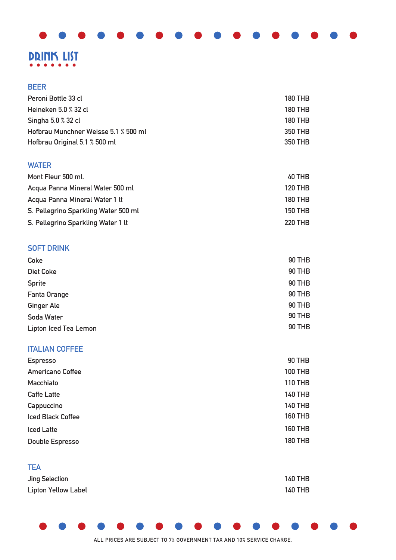# DRINK LIST

### **BEER**

| Peroni Bottle 33 cl                  | <b>180 THB</b> |
|--------------------------------------|----------------|
| Heineken 5.0 % 32 cl                 | <b>180 THB</b> |
| Singha 5.0 % 32 cl                   | <b>180 THB</b> |
| Hofbrau Munchner Weisse 5.1 % 500 ml | 350 THB        |
| Hofbrau Original 5.1 % 500 ml        | 350 THB        |
|                                      |                |

### **WATER**

| Mont Fleur 500 ml.                   | 40 THB         |
|--------------------------------------|----------------|
| Acqua Panna Mineral Water 500 ml     | 120 THB        |
| Acqua Panna Mineral Water 1 lt       | <b>180 THB</b> |
| S. Pellegrino Sparkling Water 500 ml | <b>150 THB</b> |
| S. Pellegrino Sparkling Water 1 lt   | <b>220 THB</b> |

### **SOFT DRINK**

| Coke                         | <b>90 THB</b> |
|------------------------------|---------------|
| <b>Diet Coke</b>             | 90 THB        |
| <b>Sprite</b>                | 90 THB        |
| Fanta Orange                 | 90 THB        |
| <b>Ginger Ale</b>            | 90 THB        |
| Soda Water                   | 90 THB        |
| <b>Lipton Iced Tea Lemon</b> | 90 THB        |

### **ITALIAN COFFEE**

| <b>Espresso</b>          | <b>90 THB</b>  |
|--------------------------|----------------|
| <b>Americano Coffee</b>  | <b>100 THB</b> |
| Macchiato                | <b>110 THB</b> |
| <b>Caffe Latte</b>       | <b>140 THB</b> |
| Cappuccino               | <b>140 THB</b> |
| <b>Iced Black Coffee</b> | <b>160 THB</b> |
| <b>Iced Latte</b>        | <b>160 THB</b> |
| <b>Double Espresso</b>   | <b>180 THB</b> |

| <b>TEA</b>                 |                |
|----------------------------|----------------|
| Jing Selection             | <b>140 THB</b> |
| <b>Lipton Yellow Label</b> | <b>140 THB</b> |

### **ALL PRICES ARE SUBJECT TO 7% GOVERNMENT TAX AND 10% SERVICE CHARGE.**